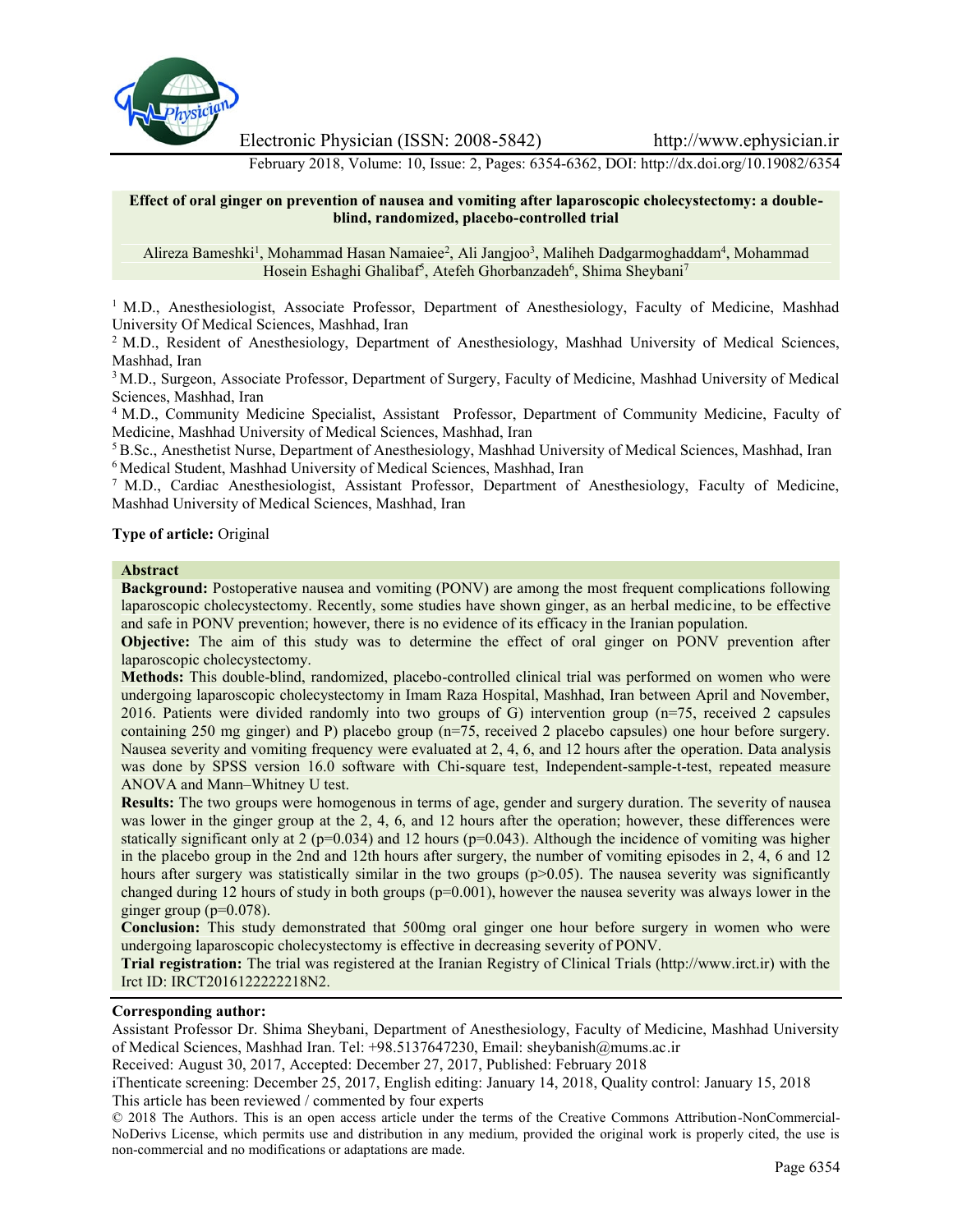

Electronic Physician (ISSN: 2008-5842) http://www.ephysician.ir

February 2018, Volume: 10, Issue: 2, Pages: 6354-6362, DOI: http://dx.doi.org/10.19082/6354

### **Effect of oral ginger on prevention of nausea and vomiting after laparoscopic cholecystectomy: a double blind, randomized, placebo-controlled trial**

Alireza Bameshki<sup>1</sup>, Mohammad Hasan Namaiee<sup>2</sup>, Ali Jangjoo<sup>3</sup>, Maliheh Dadgarmoghaddam<sup>4</sup>, Mohammad Hosein Eshaghi Ghalibaf<sup>5</sup>, Atefeh Ghorbanzadeh<sup>6</sup>, Shima Sheybani<sup>7</sup>

<sup>1</sup> M.D., Anesthesiologist, Associate Professor, Department of Anesthesiology, Faculty of Medicine, Mashhad University Of Medical Sciences, Mashhad, Iran

<sup>2</sup> M.D., Resident of Anesthesiology, Department of Anesthesiology, Mashhad University of Medical Sciences, Mashhad, Iran

<sup>3</sup> M.D., Surgeon, Associate Professor, Department of Surgery, Faculty of Medicine, Mashhad University of Medical Sciences, Mashhad, Iran

<sup>4</sup> M.D., Community Medicine Specialist, Assistant Professor, Department of Community Medicine, Faculty of Medicine, Mashhad University of Medical Sciences, Mashhad, Iran

<sup>5</sup> B.Sc., Anesthetist Nurse, Department of Anesthesiology, Mashhad University of Medical Sciences, Mashhad, Iran <sup>6</sup> Medical Student, Mashhad University of Medical Sciences, Mashhad, Iran

<sup>7</sup> M.D., Cardiac Anesthesiologist, Assistant Professor, Department of Anesthesiology, Faculty of Medicine, Mashhad University of Medical Sciences, Mashhad, Iran

### **Type of article:** Original

#### **Abstract**

**Background:** Postoperative nausea and vomiting (PONV) are among the most frequent complications following laparoscopic cholecystectomy. Recently, some studies have shown ginger, as an herbal medicine, to be effective and safe in PONV prevention; however, there is no evidence of its efficacy in the Iranian population.

**Objective:** The aim of this study was to determine the effect of oral ginger on PONV prevention after laparoscopic cholecystectomy.

**Methods:** This double-blind, randomized, placebo-controlled clinical trial was performed on women who were undergoing laparoscopic cholecystectomy in Imam Raza Hospital, Mashhad, Iran between April and November, 2016. Patients were divided randomly into two groups of G) intervention group (n=75, received 2 capsules containing 250 mg ginger) and P) placebo group (n=75, received 2 placebo capsules) one hour before surgery. Nausea severity and vomiting frequency were evaluated at 2, 4, 6, and 12 hours after the operation. Data analysis was done by SPSS version 16.0 software with Chi-square test, Independent-sample-t-test, repeated measure ANOVA and Mann–Whitney U test.

**Results:** The two groups were homogenous in terms of age, gender and surgery duration. The severity of nausea was lower in the ginger group at the 2, 4, 6, and 12 hours after the operation; however, these differences were statically significant only at 2 ( $p=0.034$ ) and 12 hours ( $p=0.043$ ). Although the incidence of vomiting was higher in the placebo group in the 2nd and 12th hours after surgery, the number of vomiting episodes in 2, 4, 6 and 12 hours after surgery was statistically similar in the two groups (p>0.05). The nausea severity was significantly changed during 12 hours of study in both groups  $(p=0.001)$ , however the nausea severity was always lower in the ginger group ( $p=0.078$ ).

**Conclusion:** This study demonstrated that 500mg oral ginger one hour before surgery in women who were undergoing laparoscopic cholecystectomy is effective in decreasing severity of PONV.

**Trial registration:** The trial was registered at the Iranian Registry of Clinical Trials (http://www.irct.ir) with the Irct ID: IRCT2016122222218N2.

#### **Corresponding author:**

Assistant Professor Dr. Shima Sheybani, Department of Anesthesiology, Faculty of Medicine, Mashhad University of Medical Sciences, Mashhad Iran. Tel: +98.5137647230, Email: sheybanish@mums.ac.ir

Received: August 30, 2017, Accepted: December 27, 2017, Published: February 2018

iThenticate screening: December 25, 2017, English editing: January 14, 2018, Quality control: January 15, 2018 This article has been reviewed / commented by four experts

© 2018 The Authors. This is an open access article under the terms of the Creative Commons Attribution-NonCommercial- NoDerivs License, which permits use and distribution in any medium, provided the original work is properly cited, the use is non-commercial and no modifications or adaptations are made.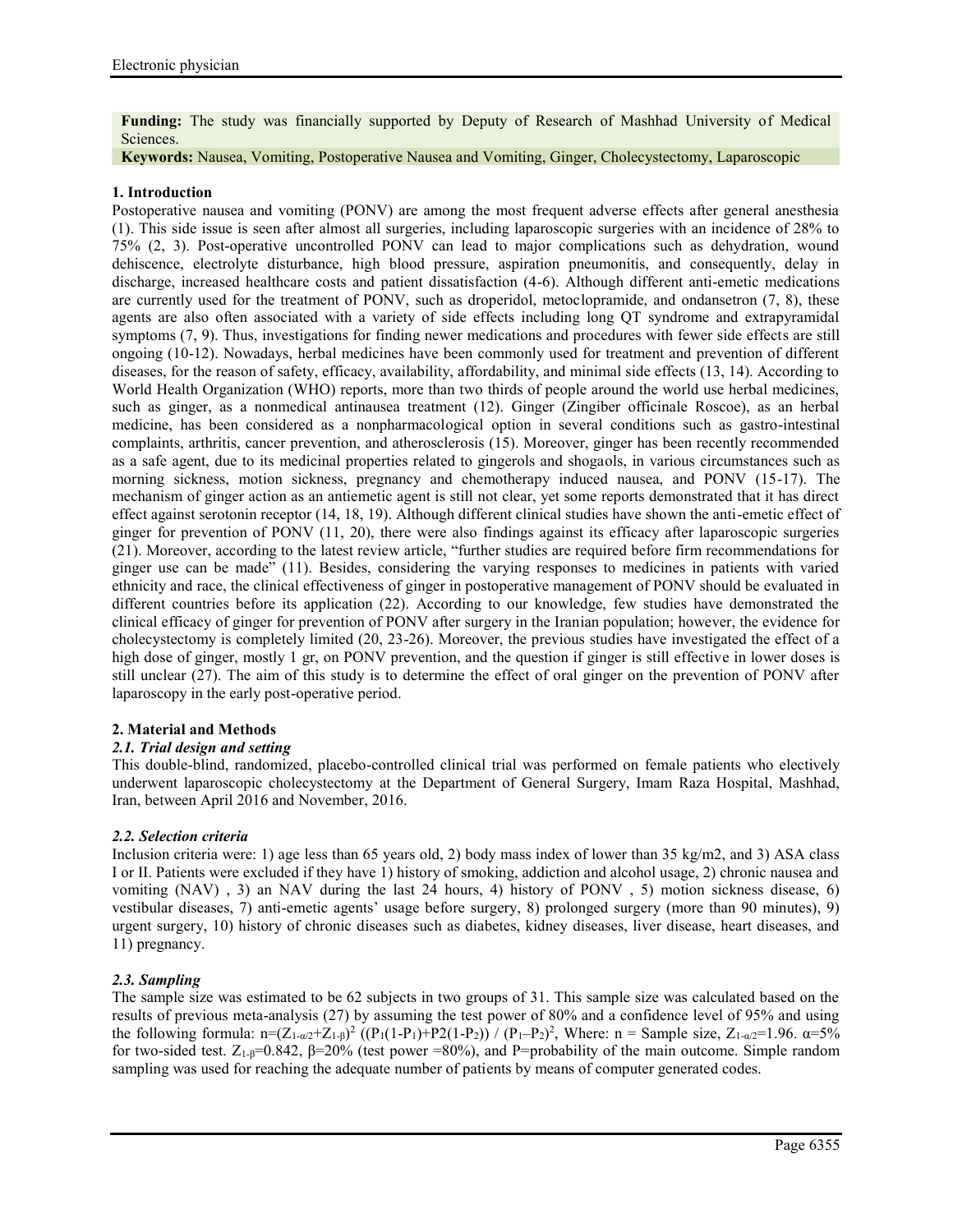**Funding:** The study was financially supported by Deputy of Research of Mashhad University of Medical Sciences.

### **Keywords:** Nausea, Vomiting, Postoperative Nausea and Vomiting, Ginger, Cholecystectomy, Laparoscopic

# **1. Introduction**

Postoperative nausea and vomiting (PONV) are among the most frequent adverse effects after general anesthesia (1). This side issue is seen after almost all surgeries, including laparoscopic surgeries with an incidence of 28% to 75% (2, 3). Post-operative uncontrolled PONV can lead to major complications such as dehydration, wound dehiscence, electrolyte disturbance, high blood pressure, aspiration pneumonitis, and consequently, delay in discharge, increased healthcare costs and patient dissatisfaction (4-6). Although different anti-emetic medications are currently used for the treatment of PONV, such as droperidol, metoclopramide, and ondansetron (7, 8), these agents are also often associated with a variety of side effects including long QT syndrome and extrapyramidal symptoms (7, 9). Thus, investigations for finding newer medications and procedures with fewer side effects are still ongoing (10-12). Nowadays, herbal medicines have been commonly used for treatment and prevention of different diseases, for the reason of safety, efficacy, availability, affordability, and minimal side effects (13, 14). According to World Health Organization (WHO) reports, more than two thirds of people around the world use herbal medicines, such as ginger, as a nonmedical antinausea treatment (12). Ginger (Zingiber officinale Roscoe), as an herbal medicine, has been considered as a nonpharmacological option in several conditions such as gastro-intestinal complaints, arthritis, cancer prevention, and atherosclerosis (15). Moreover, ginger has been recently recommended as a safe agent, due to its medicinal properties related to gingerols and shogaols, in various circumstances such as morning sickness, motion sickness, pregnancy and chemotherapy induced nausea, and PONV (15-17). The mechanism of ginger action as an antiemetic agent is still not clear, yet some reports demonstrated that it has direct effect against serotonin receptor (14, 18, 19). Although different clinical studies have shown the anti-emetic effect of ginger for prevention of PONV (11, 20), there were also findings against its efficacy after laparoscopic surgeries (21). Moreover, according to the latest review article, "further studies are required before firm recommendations for ginger use can be made" (11). Besides, considering the varying responses to medicines in patients with varied ethnicity and race, the clinical effectiveness of ginger in postoperative management of PONV should be evaluated in different countries before its application (22). According to our knowledge, few studies have demonstrated the clinical efficacy of ginger for prevention of PONV after surgery in the Iranian population; however, the evidence for cholecystectomy is completely limited (20, 23-26). Moreover, the previous studies have investigated the effect of a high dose of ginger, mostly 1 gr, on PONV prevention, and the question if ginger is still effective in lower doses is still unclear (27). The aim of this study is to determine the effect of oral ginger on the prevention of PONV after laparoscopy in the early post-operative period.

# **2. Material and Methods**

# *2.1. Trial design and setting*

This double-blind, randomized, placebo-controlled clinical trial was performed on female patients who electively underwent laparoscopic cholecystectomy at the Department of General Surgery, Imam Raza Hospital, Mashhad, Iran, between April 2016 and November, 2016.

# *2.2. Selection criteria*

Inclusion criteria were: 1) age less than 65 years old, 2) body mass index of lower than 35 kg/m2, and 3) ASA class I or II. Patients were excluded if they have 1) history of smoking, addiction and alcohol usage, 2) chronic nausea and vomiting (NAV) , 3) an NAV during the last 24 hours, 4) history of PONV , 5) motion sickness disease, 6) vestibular diseases, 7) anti-emetic agents' usage before surgery, 8) prolonged surgery (more than 90 minutes), 9) urgent surgery, 10) history of chronic diseases such as diabetes, kidney diseases, liver disease, heart diseases, and 11) pregnancy.

# *2.3. Sampling*

The sample size was estimated to be 62 subjects in two groups of 31. This sample size was calculated based on the results of previous meta-analysis (27) by assuming the test power of 80% and a confidence level of 95% and using the following formula: n=(Z<sub>1-α/2</sub>+Z<sub>1-β</sub>)<sup>2</sup> ((P<sub>1</sub>(1-P<sub>1</sub>)+P2(1-P<sub>2</sub>)) / (P<sub>1</sub>-P<sub>2</sub>)<sup>2</sup>, Where: n = Sample size, Z<sub>1-α/2</sub>=1.96. α=5% for two-sided test.  $Z_{1-\beta}=0.842$ ,  $\beta=20%$  (test power =80%), and P=probability of the main outcome. Simple random sampling was used for reaching the adequate number of patients by means of computer generated codes.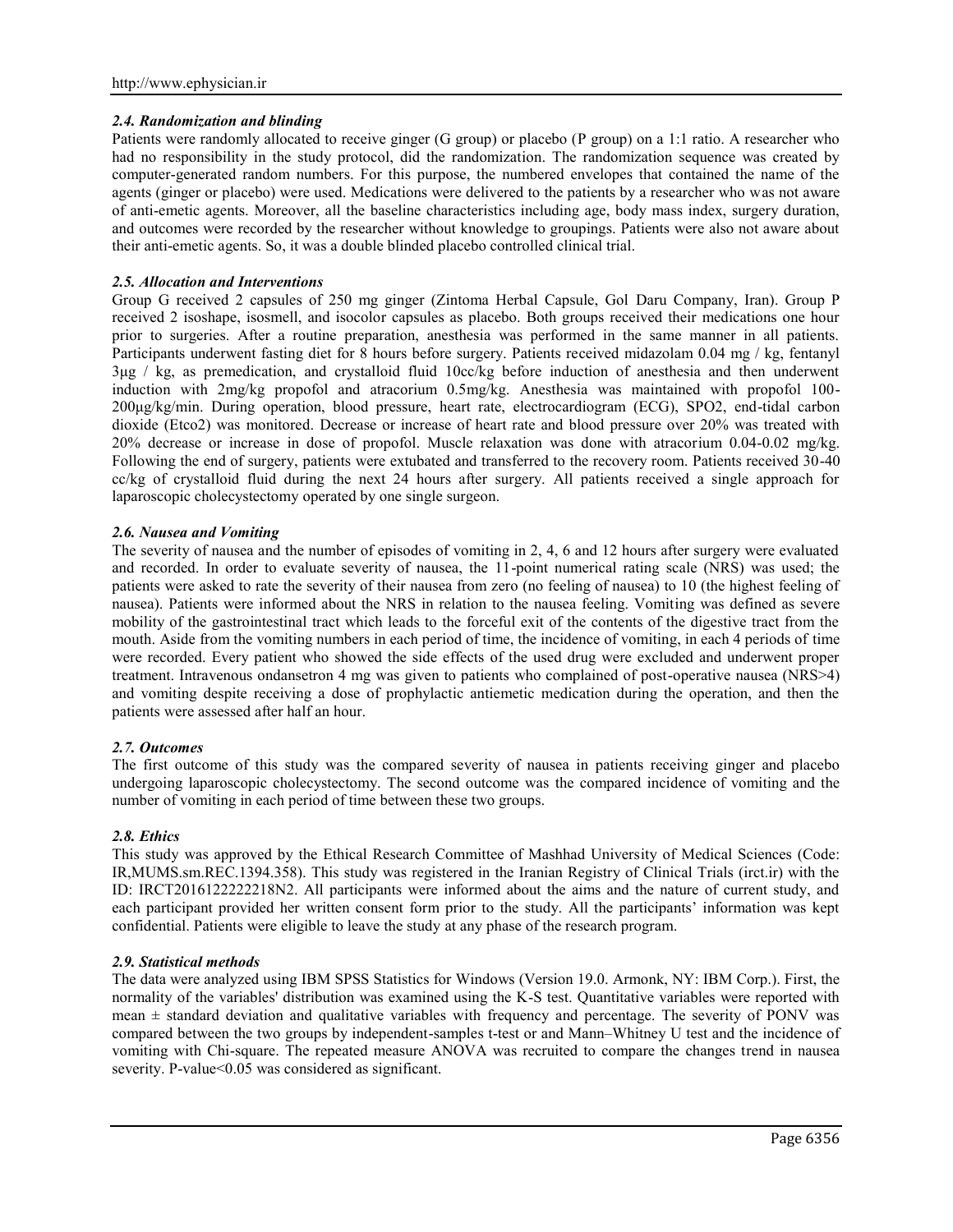# *2.4. Randomization and blinding*

Patients were randomly allocated to receive ginger (G group) or placebo (P group) on a 1:1 ratio. A researcher who had no responsibility in the study protocol, did the randomization. The randomization sequence was created by computer-generated random numbers. For this purpose, the numbered envelopes that contained the name of the agents (ginger or placebo) were used. Medications were delivered to the patients by a researcher who was not aware of anti-emetic agents. Moreover, all the baseline characteristics including age, body mass index, surgery duration, and outcomes were recorded by the researcher without knowledge to groupings. Patients were also not aware about their anti-emetic agents. So, it was a double blinded placebo controlled clinical trial.

### *2.5. Allocation and Interventions*

Group G received 2 capsules of 250 mg ginger (Zintoma Herbal Capsule, Gol Daru Company, Iran). Group P received 2 isoshape, isosmell, and isocolor capsules as placebo. Both groups received their medications one hour prior to surgeries. After a routine preparation, anesthesia was performed in the same manner in all patients. Participants underwent fasting diet for 8 hours before surgery. Patients received midazolam 0.04 mg / kg, fentanyl 3μg / kg, as premedication, and crystalloid fluid 10cc/kg before induction of anesthesia and then underwent induction with 2mg/kg propofol and atracorium 0.5mg/kg. Anesthesia was maintained with propofol 100- 200μg/kg/min. During operation, blood pressure, heart rate, electrocardiogram (ECG), SPO2, end-tidal carbon dioxide (Etco2) was monitored. Decrease or increase of heart rate and blood pressure over 20% was treated with 20% decrease or increase in dose of propofol. Muscle relaxation was done with atracorium 0.04-0.02 mg/kg. Following the end of surgery, patients were extubated and transferred to the recovery room. Patients received 30-40 cc/kg of crystalloid fluid during the next 24 hours after surgery. All patients received a single approach for laparoscopic cholecystectomy operated by one single surgeon.

### *2.6. Nausea and Vomiting*

The severity of nausea and the number of episodes of vomiting in 2, 4, 6 and 12 hours after surgery were evaluated and recorded. In order to evaluate severity of nausea, the 11-point numerical rating scale (NRS) was used; the patients were asked to rate the severity of their nausea from zero (no feeling of nausea) to 10 (the highest feeling of nausea). Patients were informed about the NRS in relation to the nausea feeling. Vomiting was defined as severe mobility of the gastrointestinal tract which leads to the forceful exit of the contents of the digestive tract from the mouth. Aside from the vomiting numbers in each period of time, the incidence of vomiting, in each 4 periods of time were recorded. Every patient who showed the side effects of the used drug were excluded and underwent proper treatment. Intravenous ondansetron 4 mg was given to patients who complained of post-operative nausea (NRS>4) and vomiting despite receiving a dose of prophylactic antiemetic medication during the operation, and then the patients were assessed after half an hour.

# *2.7. Outcomes*

The first outcome of this study was the compared severity of nausea in patients receiving ginger and placebo undergoing laparoscopic cholecystectomy. The second outcome was the compared incidence of vomiting and the number of vomiting in each period of time between these two groups.

#### *2.8. Ethics*

This study was approved by the Ethical Research Committee of Mashhad University of Medical Sciences (Code: IR,MUMS.sm.REC.1394.358). This study was registered in the Iranian Registry of Clinical Trials (irct.ir) with the ID: IRCT2016122222218N2. All participants were informed about the aims and the nature of current study, and each participant provided her written consent form prior to the study. All the participants' information was kept confidential. Patients were eligible to leave the study at any phase of the research program.

### *2.9. Statistical methods*

The data were analyzed using IBM SPSS Statistics for Windows (Version 19.0. Armonk, NY: IBM Corp.). First, the normality of the variables' distribution was examined using the K-S test. Quantitative variables were reported with mean  $\pm$  standard deviation and qualitative variables with frequency and percentage. The severity of PONV was compared between the two groups by independent-samples t-test or and Mann–Whitney U test and the incidence of vomiting with Chi-square. The repeated measure ANOVA was recruited to compare the changes trend in nausea severity. P-value<0.05 was considered as significant.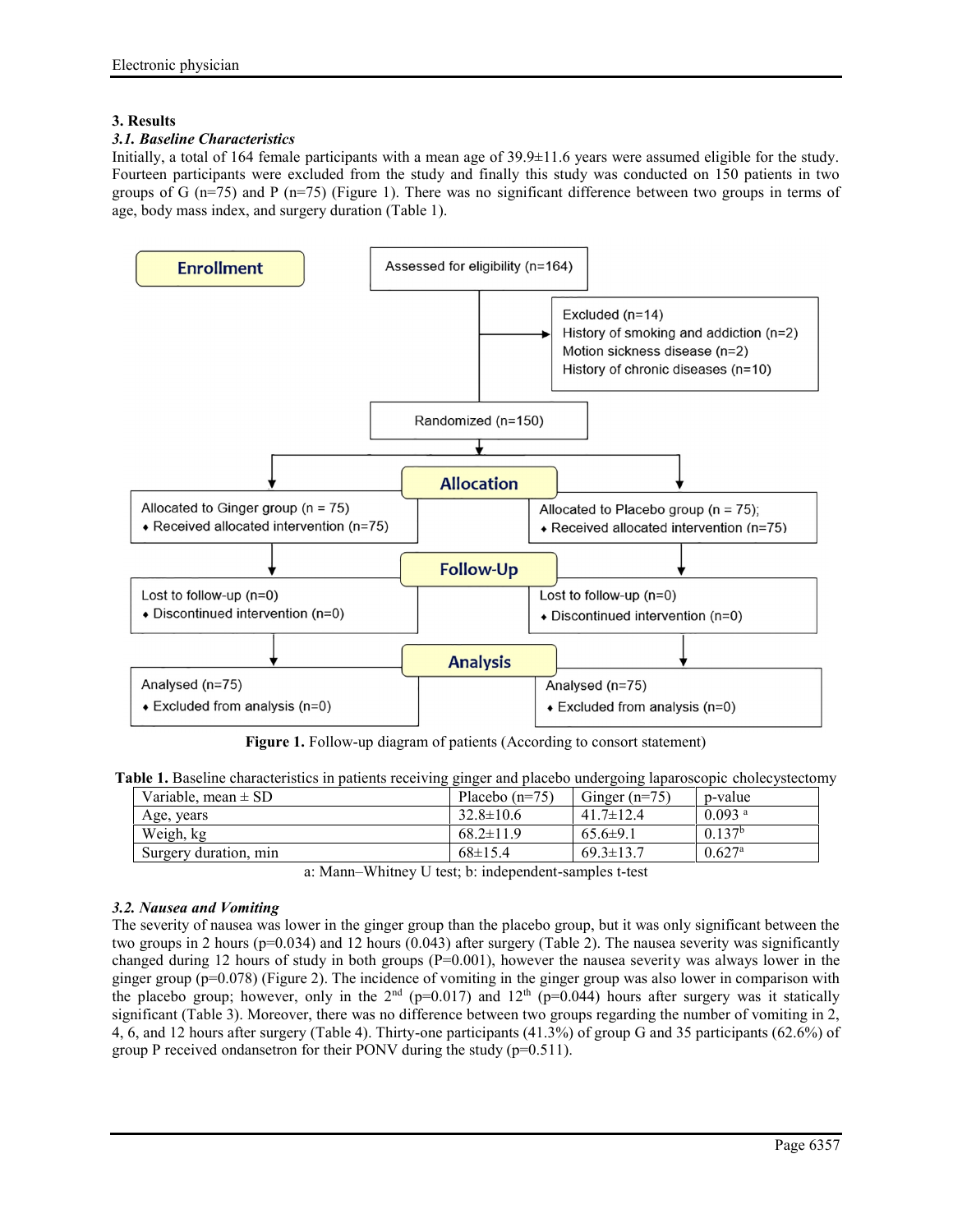# **3. Results**

# *3.1. Baseline Characteristics*

Initially, a total of 164 female participants with a mean age of  $39.9\pm11.6$  years were assumed eligible for the study. Fourteen participants were excluded from the study and finally this study was conducted on 150 patients in two groups of G  $(n=75)$  and P  $(n=75)$  (Figure 1). There was no significant difference between two groups in terms of age, body mass index, and surgery duration (Table 1).



**Figure 1.** Follow-up diagram of patients (According to consort statement)

|  | Table 1. Baseline characteristics in patients receiving ginger and placebo undergoing laparoscopic cholecystectomy |
|--|--------------------------------------------------------------------------------------------------------------------|
|--|--------------------------------------------------------------------------------------------------------------------|

| Variable, mean $\pm$ SD | Placebo $(n=75)$ | Ginger $(n=75)$ | p-value              |
|-------------------------|------------------|-----------------|----------------------|
| Age, years              | $32.8 \pm 10.6$  | $41.7 \pm 12.4$ | $0.093$ <sup>a</sup> |
| Weigh, kg               | $68.2 \pm 11.9$  | $65.6\pm9.1$    | 0.137 <sup>b</sup>   |
| Surgery duration, min   | $68 \pm 15.4$    | $69.3 \pm 13.7$ | $0.627^{\rm a}$      |

a: Mann–Whitney U test; b: independent-samples t-test

# *3.2. Nausea and Vomiting*

The severity of nausea was lower in the ginger group than the placebo group, but it was only significant between the two groups in 2 hours (p=0.034) and 12 hours (0.043) after surgery (Table 2). The nausea severity was significantly changed during 12 hours of study in both groups  $(P=0.001)$ , however the nausea severity was always lower in the ginger group (p=0.078) (Figure 2). The incidence of vomiting in the ginger group was also lower in comparison with the placebo group; however, only in the  $2<sup>nd</sup>$  (p=0.017) and 12<sup>th</sup> (p=0.044) hours after surgery was it statically significant (Table 3). Moreover, there was no difference between two groups regarding the number of vomiting in 2, 4, 6, and 12 hours after surgery (Table 4). Thirty-one participants (41.3%) of group G and 35 participants (62.6%) of group P received ondansetron for their PONV during the study  $(p=0.511)$ .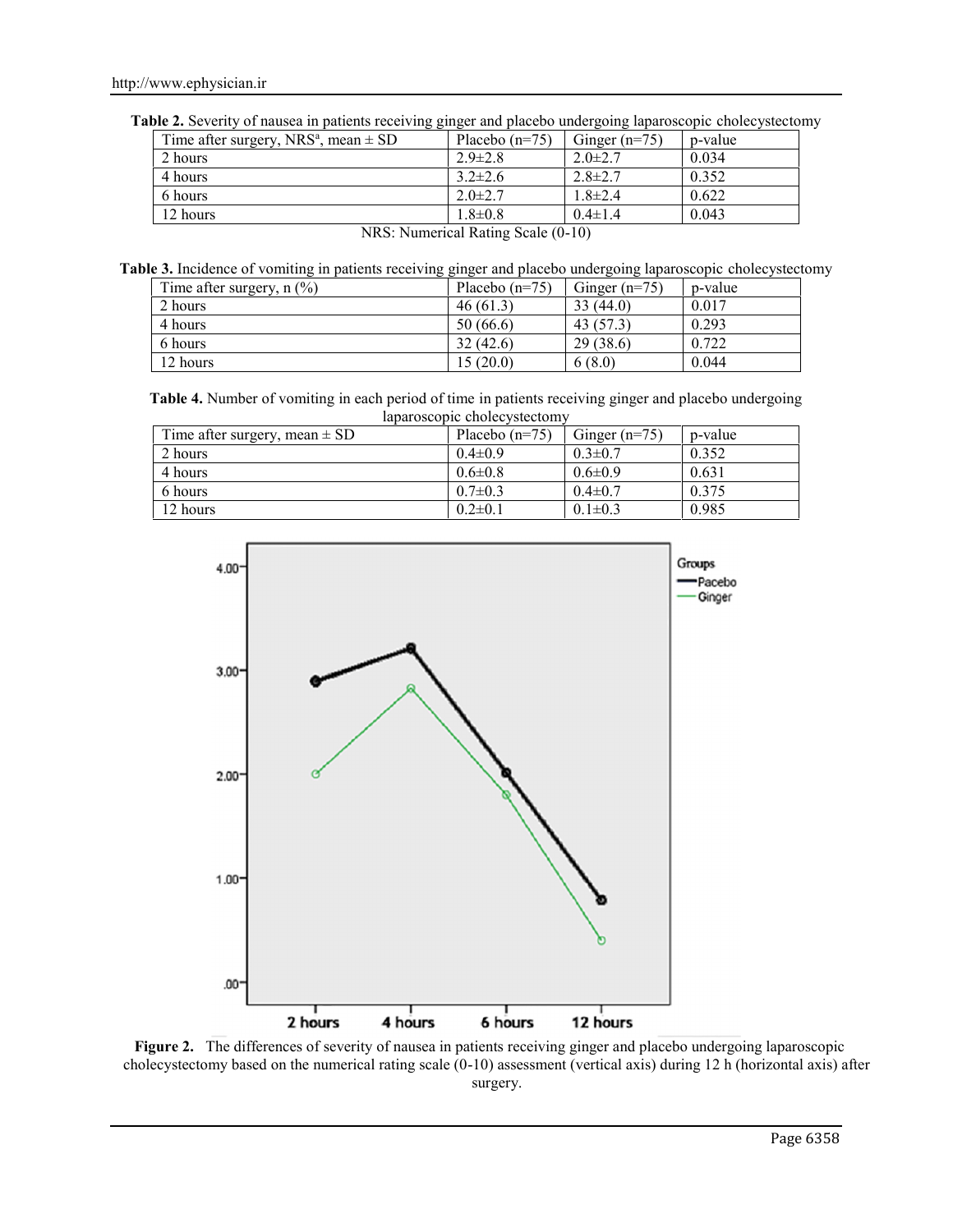|  | Table 2. Severity of nausea in patients receiving ginger and placebo undergoing laparoscopic cholecystectomy |  |  |
|--|--------------------------------------------------------------------------------------------------------------|--|--|
|  |                                                                                                              |  |  |

| Time after surgery, NRS <sup>a</sup> , mean $\pm$ SD | Placebo $(n=75)$ | Ginger $(n=75)$ | p-value |  |
|------------------------------------------------------|------------------|-----------------|---------|--|
| 2 hours                                              | $2.9 \pm 2.8$    | $2.0 \pm 2.7$   | 0.034   |  |
| 4 hours                                              | $3.2 \pm 2.6$    | $2.8 \pm 2.7$   | 0.352   |  |
| 6 hours                                              | $2.0 \pm 2.7$    | $1.8 \pm 2.4$   | 0.622   |  |
| 12 hours                                             | $1.8 \pm 0.8$    | $0.4 \pm 1.4$   | 0.043   |  |
| $\sqrt{2}$                                           |                  |                 |         |  |

| Table 3. Incidence of vomiting in patients receiving ginger and placebo undergoing laparoscopic cholecystectomy |                             |                  |                 |         |  |
|-----------------------------------------------------------------------------------------------------------------|-----------------------------|------------------|-----------------|---------|--|
|                                                                                                                 | Time after surgery, $n$ (%) | Placebo $(n=75)$ | Ginger $(n=75)$ | p-value |  |
|                                                                                                                 | 2 hours                     | 46(61.3)         | 33(44.0)        | 0.017   |  |
|                                                                                                                 | 4 hours                     | 50(66.6)         | 43 (57.3)       | 0.293   |  |
|                                                                                                                 | 6 hours                     | 32(42.6)         | 29(38.6)        | 0.722   |  |
|                                                                                                                 | 12 hours                    | 15(20.0)         | 6(8.0)          | 0.044   |  |

NRS: Numerical Rating Scale (0-10)

**Table 4.** Number of vomiting in each period of time in patients receiving ginger and placebo undergoing laparoscopic cholecystectomy

| Time after surgery, mean $\pm$ SD | Placebo $(n=75)$ | Ginger $(n=75)$ | p-value |
|-----------------------------------|------------------|-----------------|---------|
| 2 hours                           | $0.4 \pm 0.9$    | $0.3 \pm 0.7$   | 0.352   |
| 4 hours                           | $0.6 \pm 0.8$    | $0.6 \pm 0.9$   | 0.631   |
| 6 hours                           | $0.7 \pm 0.3$    | $0.4 \pm 0.7$   | 0.375   |
| 12 hours                          | $0.2 \pm 0.1$    | $0.1 \pm 0.3$   | 0.985   |



**Figure 2.** The differences of severity of nausea in patients receiving ginger and placebo undergoing laparoscopic cholecystectomy based on the numerical rating scale (0-10) assessment (vertical axis) during 12 h (horizontal axis) after surgery.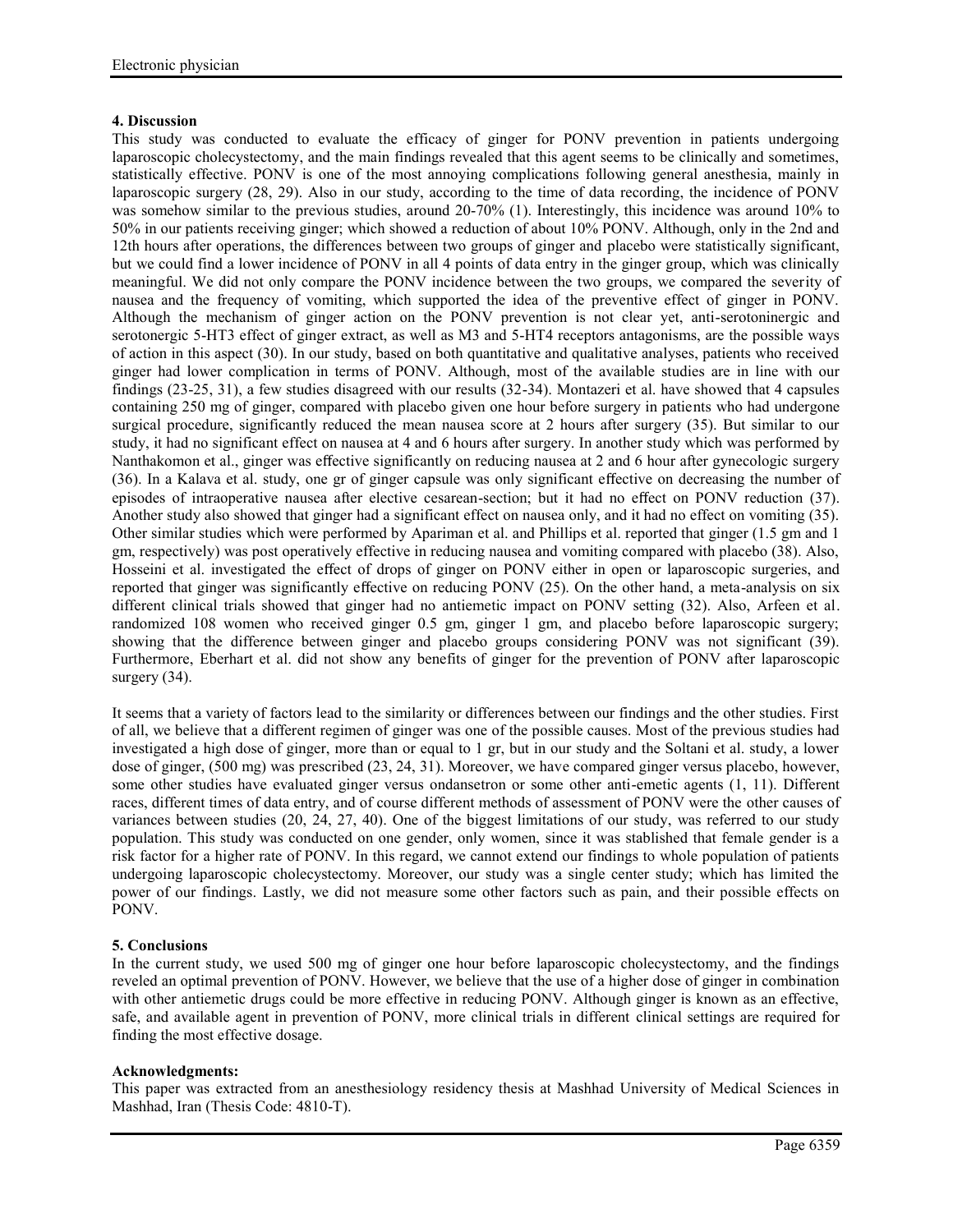# **4. Discussion**

This study was conducted to evaluate the efficacy of ginger for PONV prevention in patients undergoing laparoscopic cholecystectomy, and the main findings revealed that this agent seems to be clinically and sometimes, statistically effective. PONV is one of the most annoying complications following general anesthesia, mainly in laparoscopic surgery (28, 29). Also in our study, according to the time of data recording, the incidence of PONV was somehow similar to the previous studies, around 20-70% (1). Interestingly, this incidence was around 10% to 50% in our patients receiving ginger; which showed a reduction of about 10% PONV. Although, only in the 2nd and 12th hours after operations, the differences between two groups of ginger and placebo were statistically significant, but we could find a lower incidence of PONV in all 4 points of data entry in the ginger group, which was clinically meaningful. We did not only compare the PONV incidence between the two groups, we compared the severity of nausea and the frequency of vomiting, which supported the idea of the preventive effect of ginger in PONV. Although the mechanism of ginger action on the PONV prevention is not clear yet, anti-serotoninergic and serotonergic 5-HT3 effect of ginger extract, as well as M3 and 5-HT4 receptors antagonisms, are the possible ways of action in this aspect (30). In our study, based on both quantitative and qualitative analyses, patients who received ginger had lower complication in terms of PONV. Although, most of the available studies are in line with our findings (23-25, 31), a few studies disagreed with our results (32-34). Montazeri et al. have showed that 4 capsules containing 250 mg of ginger, compared with placebo given one hour before surgery in patients who had undergone surgical procedure, significantly reduced the mean nausea score at 2 hours after surgery (35). But similar to our study, it had no significant effect on nausea at 4 and 6 hours after surgery. In another study which was performed by Nanthakomon et al., ginger was effective significantly on reducing nausea at 2 and 6 hour after gynecologic surgery (36). In a Kalava et al. study, one gr of ginger capsule was only significant effective on decreasing the number of episodes of intraoperative nausea after elective cesarean-section; but it had no effect on PONV reduction (37). Another study also showed that ginger had a significant effect on nausea only, and it had no effect on vomiting (35). Other similar studies which were performed by Apariman et al. and Phillips et al. reported that ginger (1.5 gm and 1 gm, respectively) was post operatively effective in reducing nausea and vomiting compared with placebo (38). Also, Hosseini et al. investigated the effect of drops of ginger on PONV either in open or laparoscopic surgeries, and reported that ginger was significantly effective on reducing PONV (25). On the other hand, a meta-analysis on six different clinical trials showed that ginger had no antiemetic impact on PONV setting (32). Also, Arfeen et al. randomized 108 women who received ginger 0.5 gm, ginger 1 gm, and placebo before laparoscopic surgery; showing that the difference between ginger and placebo groups considering PONV was not significant (39). Furthermore, Eberhart et al. did not show any benefits of ginger for the prevention of PONV after laparoscopic surgery (34).

It seems that a variety of factors lead to the similarity or differences between our findings and the other studies. First of all, we believe that a different regimen of ginger was one of the possible causes. Most of the previous studies had investigated a high dose of ginger, more than or equal to 1 gr, but in our study and the Soltani et al. study, a lower dose of ginger, (500 mg) was prescribed (23, 24, 31). Moreover, we have compared ginger versus placebo, however, some other studies have evaluated ginger versus ondansetron or some other anti-emetic agents (1, 11). Different races, different times of data entry, and of course different methods of assessment of PONV were the other causes of variances between studies (20, 24, 27, 40). One of the biggest limitations of our study, was referred to our study population. This study was conducted on one gender, only women, since it was stablished that female gender is a risk factor for a higher rate of PONV. In this regard, we cannot extend our findings to whole population of patients undergoing laparoscopic cholecystectomy. Moreover, our study was a single center study; which has limited the power of our findings. Lastly, we did not measure some other factors such as pain, and their possible effects on PONV.

# **5. Conclusions**

In the current study, we used 500 mg of ginger one hour before laparoscopic cholecystectomy, and the findings reveled an optimal prevention of PONV. However, we believe that the use of a higher dose of ginger in combination with other antiemetic drugs could be more effective in reducing PONV. Although ginger is known as an effective, safe, and available agent in prevention of PONV, more clinical trials in different clinical settings are required for finding the most effective dosage.

# **Acknowledgments:**

This paper was extracted from an anesthesiology residency thesis at Mashhad University of Medical Sciences in Mashhad, Iran (Thesis Code: 4810-T).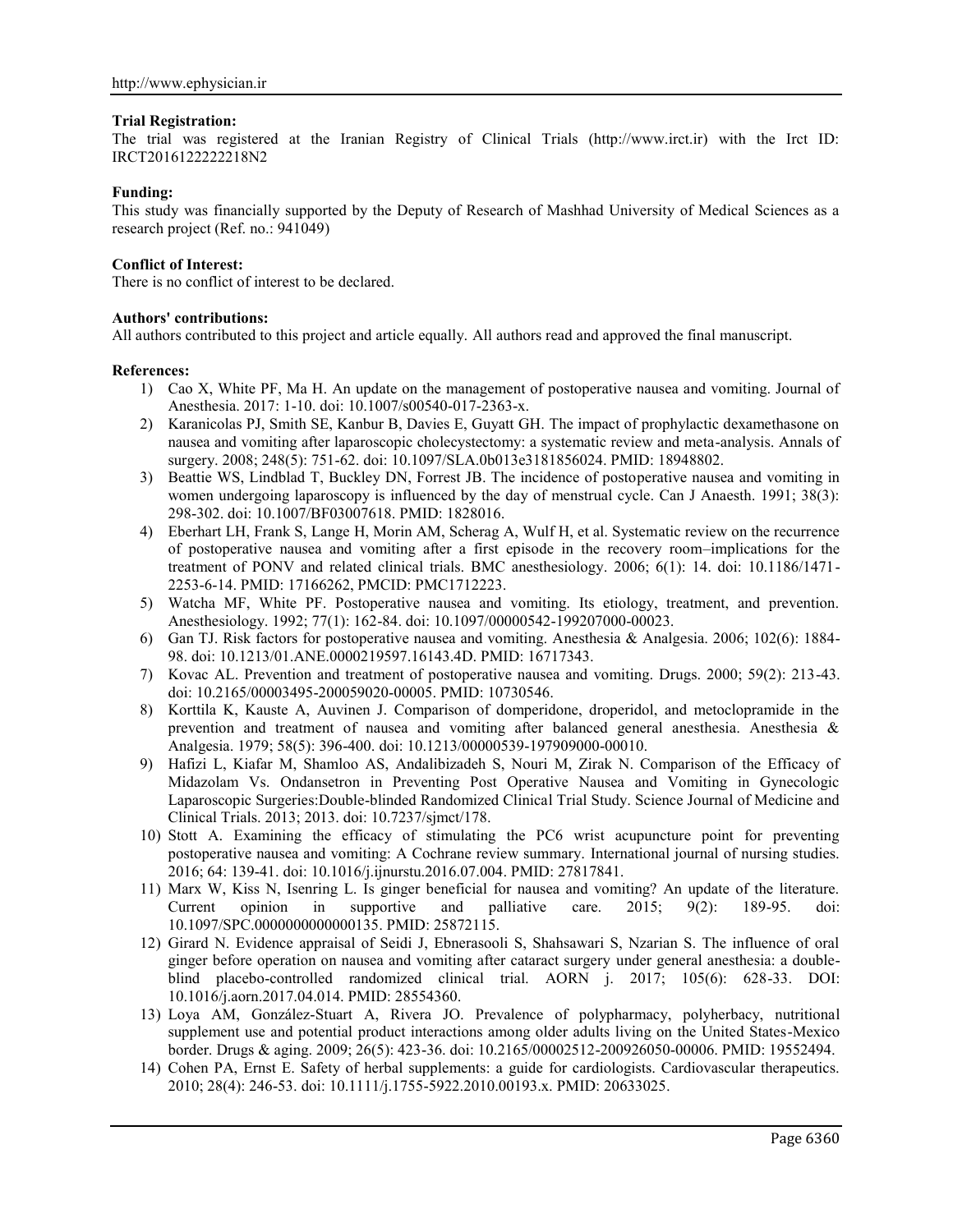#### **Trial Registration:**

The trial was registered at the Iranian Registry of Clinical Trials (http://www.irct.ir) with the Irct ID: IRCT2016122222218N2

### **Funding:**

This study was financially supported by the Deputy of Research of Mashhad University of Medical Sciences as a research project (Ref. no.: 941049)

### **Conflict of Interest:**

There is no conflict of interest to be declared.

### **Authors' contributions:**

All authors contributed to this project and article equally. All authors read and approved the final manuscript.

#### **References:**

- 1) Cao X, White PF, Ma H. An update on the management of postoperative nausea and vomiting. Journal of Anesthesia. 2017: 1-10. doi: 10.1007/s00540-017-2363-x.
- 2) Karanicolas PJ, Smith SE, Kanbur B, Davies E, Guyatt GH. The impact of prophylactic dexamethasone on nausea and vomiting after laparoscopic cholecystectomy: a systematic review and meta-analysis. Annals of surgery. 2008; 248(5): 751-62. doi: 10.1097/SLA.0b013e3181856024. PMID: 18948802.
- 3) Beattie WS, Lindblad T, Buckley DN, Forrest JB. The incidence of postoperative nausea and vomiting in women undergoing laparoscopy is influenced by the day of menstrual cycle. Can J Anaesth. 1991; 38(3): 298-302. doi: 10.1007/BF03007618. PMID: 1828016.
- 4) Eberhart LH, Frank S, Lange H, Morin AM, Scherag A, Wulf H, et al. Systematic review on the recurrence of postoperative nausea and vomiting after a first episode in the recovery room–implications for the treatment of PONV and related clinical trials. BMC anesthesiology. 2006; 6(1): 14. doi: 10.1186/1471- 2253-6-14. PMID: 17166262, PMCID: PMC1712223.
- 5) Watcha MF, White PF. Postoperative nausea and vomiting. Its etiology, treatment, and prevention. Anesthesiology. 1992; 77(1): 162-84. doi: 10.1097/00000542-199207000-00023.
- 6) Gan TJ. Risk factors for postoperative nausea and vomiting. Anesthesia & Analgesia. 2006; 102(6): 1884- 98. doi: 10.1213/01.ANE.0000219597.16143.4D. PMID: 16717343.
- 7) Kovac AL. Prevention and treatment of postoperative nausea and vomiting. Drugs. 2000; 59(2): 213-43. doi: 10.2165/00003495-200059020-00005. PMID: 10730546.
- 8) Korttila K, Kauste A, Auvinen J. Comparison of domperidone, droperidol, and metoclopramide in the prevention and treatment of nausea and vomiting after balanced general anesthesia. Anesthesia & Analgesia. 1979; 58(5): 396-400. doi: 10.1213/00000539-197909000-00010.
- 9) Hafizi L, Kiafar M, Shamloo AS, Andalibizadeh S, Nouri M, Zirak N. Comparison of the Efficacy of Midazolam Vs. Ondansetron in Preventing Post Operative Nausea and Vomiting in Gynecologic Laparoscopic Surgeries:Double-blinded Randomized Clinical Trial Study. Science Journal of Medicine and Clinical Trials. 2013; 2013. doi: 10.7237/sjmct/178.
- 10) Stott A. Examining the efficacy of stimulating the PC6 wrist acupuncture point for preventing postoperative nausea and vomiting: A Cochrane review summary. International journal of nursing studies. 2016; 64: 139-41. doi: 10.1016/j.ijnurstu.2016.07.004. PMID: 27817841.
- 11) Marx W, Kiss N, Isenring L. Is ginger beneficial for nausea and vomiting? An update of the literature. Current opinion in supportive and palliative care. 2015; 9(2): 189-95. doi: 10.1097/SPC.0000000000000135. PMID: 25872115.
- 12) Girard N. Evidence appraisal of Seidi J, Ebnerasooli S, Shahsawari S, Nzarian S. The influence of oral ginger before operation on nausea and vomiting after cataract surgery under general anesthesia: a double blind placebo-controlled randomized clinical trial. AORN j. 2017; 105(6): 628-33. DOI: 10.1016/j.aorn.2017.04.014. PMID: 28554360.
- 13) Loya AM, González-Stuart A, Rivera JO. Prevalence of polypharmacy, polyherbacy, nutritional supplement use and potential product interactions among older adults living on the United States-Mexico border. Drugs & aging. 2009; 26(5): 423-36. doi: 10.2165/00002512-200926050-00006. PMID: 19552494.
- 14) Cohen PA, Ernst E. Safety of herbal supplements: a guide for cardiologists. Cardiovascular therapeutics. 2010; 28(4): 246-53. doi: 10.1111/j.1755-5922.2010.00193.x. PMID: 20633025.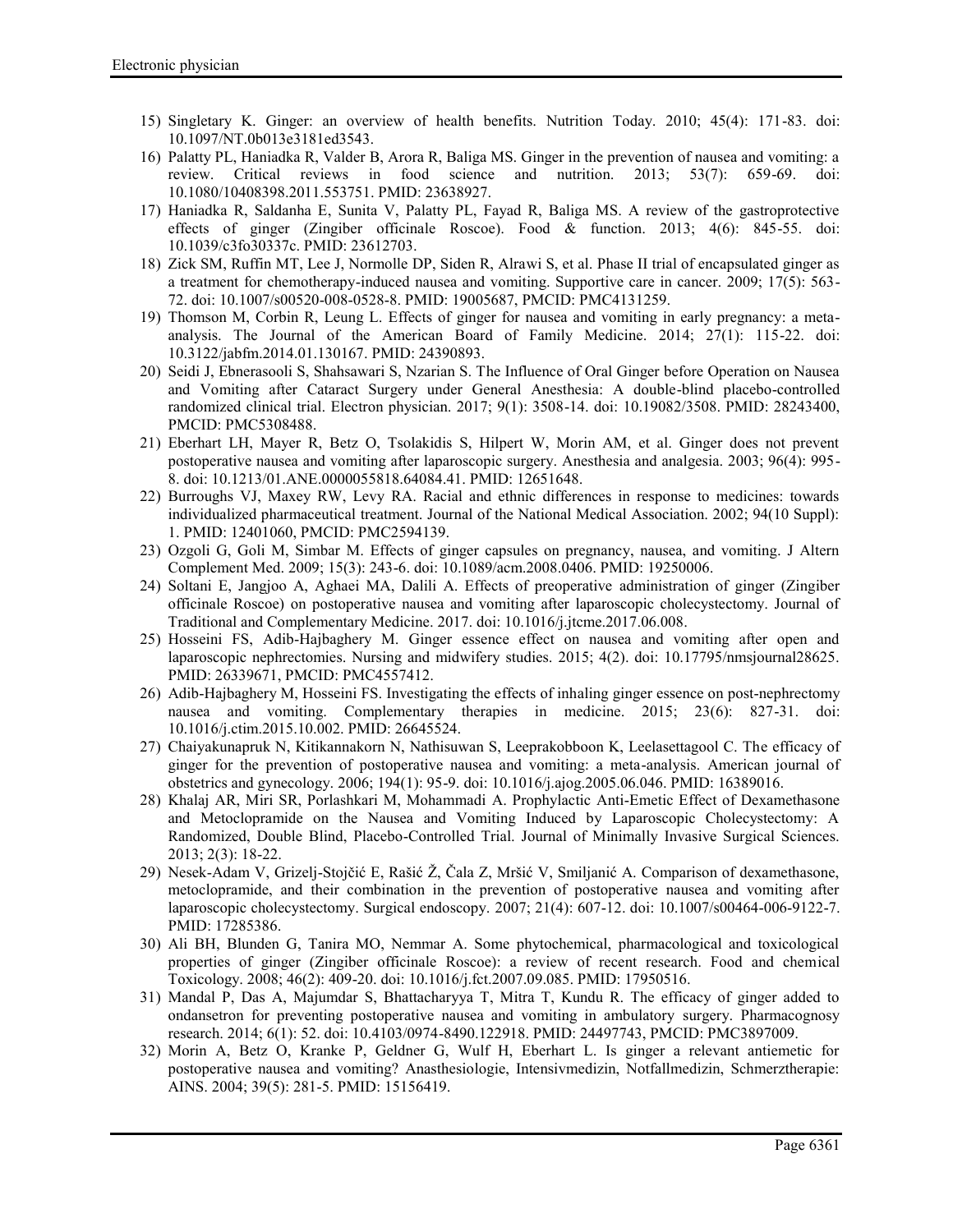- 15) Singletary K. Ginger: an overview of health benefits. Nutrition Today. 2010; 45(4): 171-83. doi: 10.1097/NT.0b013e3181ed3543.
- 16) Palatty PL, Haniadka R, Valder B, Arora R, Baliga MS. Ginger in the prevention of nausea and vomiting: a review. Critical reviews in food science and nutrition. 2013; 53(7): 659-69. doi: 10.1080/10408398.2011.553751. PMID: 23638927.
- 17) Haniadka R, Saldanha E, Sunita V, Palatty PL, Fayad R, Baliga MS. A review of the gastroprotective effects of ginger (Zingiber officinale Roscoe). Food & function. 2013; 4(6): 845-55. doi: 10.1039/c3fo30337c. PMID: 23612703.
- 18) Zick SM, Ruffin MT, Lee J, Normolle DP, Siden R, Alrawi S, et al. Phase II trial of encapsulated ginger as a treatment for chemotherapy-induced nausea and vomiting. Supportive care in cancer. 2009; 17(5): 563- 72. doi: 10.1007/s00520-008-0528-8. PMID: 19005687, PMCID: PMC4131259.
- 19) Thomson M, Corbin R, Leung L. Effects of ginger for nausea and vomiting in early pregnancy: a meta analysis. The Journal of the American Board of Family Medicine. 2014; 27(1): 115-22. doi: 10.3122/jabfm.2014.01.130167. PMID: 24390893.
- 20) Seidi J, Ebnerasooli S, Shahsawari S, Nzarian S. The Influence of Oral Ginger before Operation on Nausea and Vomiting after Cataract Surgery under General Anesthesia: A double-blind placebo-controlled randomized clinical trial. Electron physician. 2017; 9(1): 3508-14. doi: 10.19082/3508. PMID: 28243400, PMCID: PMC5308488.
- 21) Eberhart LH, Mayer R, Betz O, Tsolakidis S, Hilpert W, Morin AM, et al. Ginger does not prevent postoperative nausea and vomiting after laparoscopic surgery. Anesthesia and analgesia. 2003; 96(4): 995- 8. doi: 10.1213/01.ANE.0000055818.64084.41. PMID: 12651648.
- 22) Burroughs VJ, Maxey RW, Levy RA. Racial and ethnic differences in response to medicines: towards individualized pharmaceutical treatment. Journal of the National Medical Association. 2002; 94(10 Suppl): 1. PMID: 12401060, PMCID: PMC2594139.
- 23) Ozgoli G, Goli M, Simbar M. Effects of ginger capsules on pregnancy, nausea, and vomiting. J Altern Complement Med. 2009; 15(3): 243-6. doi: 10.1089/acm.2008.0406. PMID: 19250006.
- 24) Soltani E, Jangjoo A, Aghaei MA, Dalili A. Effects of preoperative administration of ginger (Zingiber officinale Roscoe) on postoperative nausea and vomiting after laparoscopic cholecystectomy. Journal of Traditional and Complementary Medicine. 2017. doi: 10.1016/j.jtcme.2017.06.008.
- 25) Hosseini FS, Adib-Hajbaghery M. Ginger essence effect on nausea and vomiting after open and laparoscopic nephrectomies. Nursing and midwifery studies. 2015; 4(2). doi: 10.17795/nmsjournal28625. PMID: 26339671, PMCID: PMC4557412.
- 26) Adib-Hajbaghery M, Hosseini FS. Investigating the effects of inhaling ginger essence on post-nephrectomy nausea and vomiting. Complementary therapies in medicine. 2015; 23(6): 827-31. doi: 10.1016/j.ctim.2015.10.002. PMID: 26645524.
- 27) Chaiyakunapruk N, Kitikannakorn N, Nathisuwan S, Leeprakobboon K, Leelasettagool C. The efficacy of ginger for the prevention of postoperative nausea and vomiting: a meta-analysis. American journal of obstetrics and gynecology. 2006; 194(1): 95-9. doi: 10.1016/j.ajog.2005.06.046. PMID: 16389016.
- 28) Khalaj AR, Miri SR, Porlashkari M, Mohammadi A. Prophylactic Anti-Emetic Effect of Dexamethasone and Metoclopramide on the Nausea and Vomiting Induced by Laparoscopic Cholecystectomy: A Randomized, Double Blind, Placebo-Controlled Trial. Journal of Minimally Invasive Surgical Sciences. 2013; 2(3): 18-22.
- 29) Nesek-Adam V, Grizelj-Stojčić E, Rašić Ž, Čala Z, Mršić V, Smiljanić A. Comparison of dexamethasone, metoclopramide, and their combination in the prevention of postoperative nausea and vomiting after laparoscopic cholecystectomy. Surgical endoscopy. 2007; 21(4): 607-12. doi: 10.1007/s00464-006-9122-7. PMID: 17285386.
- 30) Ali BH, Blunden G, Tanira MO, Nemmar A. Some phytochemical, pharmacological and toxicological properties of ginger (Zingiber officinale Roscoe): a review of recent research. Food and chemical Toxicology. 2008; 46(2): 409-20. doi: 10.1016/j.fct.2007.09.085. PMID: 17950516.
- 31) Mandal P, Das A, Majumdar S, Bhattacharyya T, Mitra T, Kundu R. The efficacy of ginger added to ondansetron for preventing postoperative nausea and vomiting in ambulatory surgery. Pharmacognosy research. 2014; 6(1): 52. doi: 10.4103/0974-8490.122918. PMID: 24497743, PMCID: PMC3897009.
- 32) Morin A, Betz O, Kranke P, Geldner G, Wulf H, Eberhart L. Is ginger a relevant antiemetic for postoperative nausea and vomiting? Anasthesiologie, Intensivmedizin, Notfallmedizin, Schmerztherapie: AINS. 2004; 39(5): 281-5. PMID: 15156419.